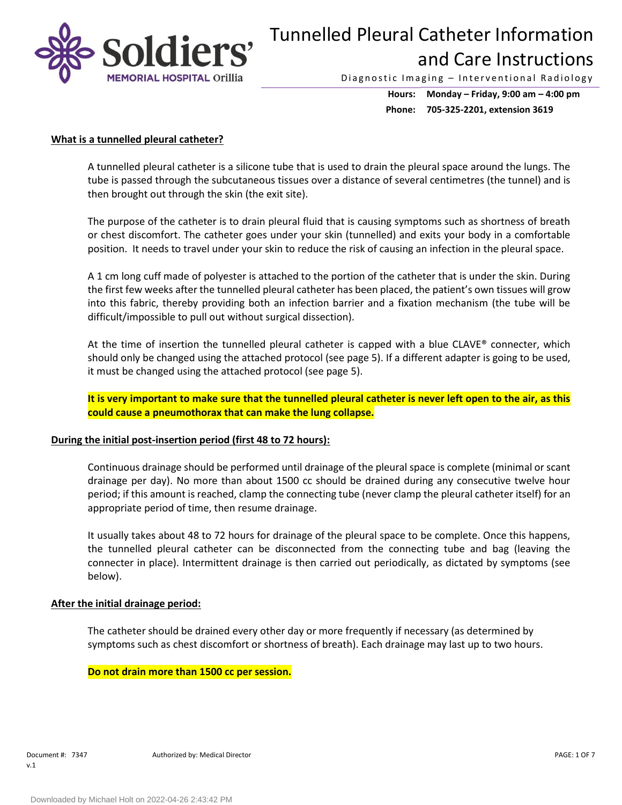

Diagnostic Imaging - Interventional Radiology

**Hours: Monday – Friday, 9:00 am – 4:00 pm Phone: 705-325-2201, extension 3619**

## **What is a tunnelled pleural catheter?**

A tunnelled pleural catheter is a silicone tube that is used to drain the pleural space around the lungs. The tube is passed through the subcutaneous tissues over a distance of several centimetres (the tunnel) and is then brought out through the skin (the exit site).

The purpose of the catheter is to drain pleural fluid that is causing symptoms such as shortness of breath or chest discomfort. The catheter goes under your skin (tunnelled) and exits your body in a comfortable position. It needs to travel under your skin to reduce the risk of causing an infection in the pleural space.

A 1 cm long cuff made of polyester is attached to the portion of the catheter that is under the skin. During the first few weeks after the tunnelled pleural catheter has been placed, the patient's own tissues will grow into this fabric, thereby providing both an infection barrier and a fixation mechanism (the tube will be difficult/impossible to pull out without surgical dissection).

At the time of insertion the tunnelled pleural catheter is capped with a blue CLAVE® connecter, which should only be changed using the attached protocol (see page 5). If a different adapter is going to be used, it must be changed using the attached protocol (see page 5).

**It is very important to make sure that the tunnelled pleural catheter is never left open to the air, as this could cause a pneumothorax that can make the lung collapse.**

### **During the initial post-insertion period (first 48 to 72 hours):**

Continuous drainage should be performed until drainage of the pleural space is complete (minimal or scant drainage per day). No more than about 1500 cc should be drained during any consecutive twelve hour period; if this amount is reached, clamp the connecting tube (never clamp the pleural catheter itself) for an appropriate period of time, then resume drainage.

It usually takes about 48 to 72 hours for drainage of the pleural space to be complete. Once this happens, the tunnelled pleural catheter can be disconnected from the connecting tube and bag (leaving the connecter in place). Intermittent drainage is then carried out periodically, as dictated by symptoms (see below).

### **After the initial drainage period:**

The catheter should be drained every other day or more frequently if necessary (as determined by symptoms such as chest discomfort or shortness of breath). Each drainage may last up to two hours.

**Do not drain more than 1500 cc per session.**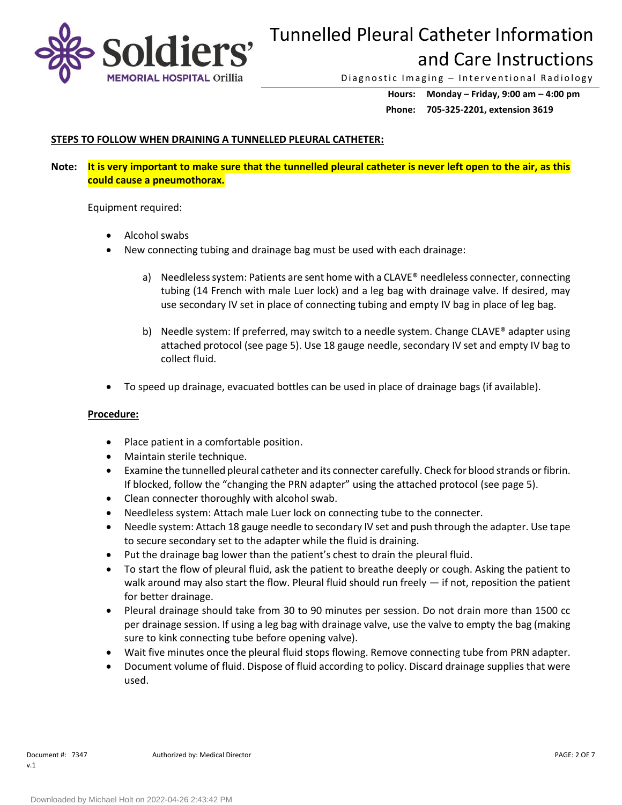

Diagnostic Imaging - Interventional Radiology

**Hours: Monday – Friday, 9:00 am – 4:00 pm Phone: 705-325-2201, extension 3619**

# **STEPS TO FOLLOW WHEN DRAINING A TUNNELLED PLEURAL CATHETER:**

**Note: It is very important to make sure that the tunnelled pleural catheter is never left open to the air, as this could cause a pneumothorax.**

Equipment required:

- Alcohol swabs
- New connecting tubing and drainage bag must be used with each drainage:
	- a) Needleless system: Patients are sent home with a CLAVE® needleless connecter, connecting tubing (14 French with male Luer lock) and a leg bag with drainage valve. If desired, may use secondary IV set in place of connecting tubing and empty IV bag in place of leg bag.
	- b) Needle system: If preferred, may switch to a needle system. Change CLAVE® adapter using attached protocol (see page 5). Use 18 gauge needle, secondary IV set and empty IV bag to collect fluid.
- To speed up drainage, evacuated bottles can be used in place of drainage bags (if available).

### **Procedure:**

- Place patient in a comfortable position.
- Maintain sterile technique.
- Examine the tunnelled pleural catheter and its connecter carefully. Check for blood strands or fibrin. If blocked, follow the "changing the PRN adapter" using the attached protocol (see page 5).
- Clean connecter thoroughly with alcohol swab.
- Needleless system: Attach male Luer lock on connecting tube to the connecter.
- Needle system: Attach 18 gauge needle to secondary IV set and push through the adapter. Use tape to secure secondary set to the adapter while the fluid is draining.
- Put the drainage bag lower than the patient's chest to drain the pleural fluid.
- To start the flow of pleural fluid, ask the patient to breathe deeply or cough. Asking the patient to walk around may also start the flow. Pleural fluid should run freely  $-$  if not, reposition the patient for better drainage.
- Pleural drainage should take from 30 to 90 minutes per session. Do not drain more than 1500 cc per drainage session. If using a leg bag with drainage valve, use the valve to empty the bag (making sure to kink connecting tube before opening valve).
- Wait five minutes once the pleural fluid stops flowing. Remove connecting tube from PRN adapter.
- Document volume of fluid. Dispose of fluid according to policy. Discard drainage supplies that were used.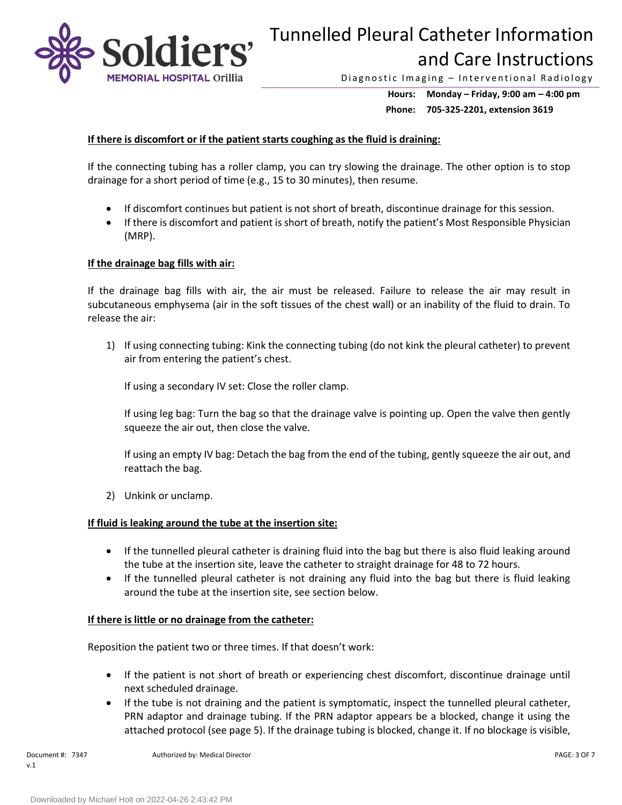

Diagnostic Imaging - Interventional Radiology

**Hours: Monday – Friday, 9:00 am – 4:00 pm Phone: 705-325-2201, extension 3619**

## **If there is discomfort or if the patient starts coughing as the fluid is draining:**

If the connecting tubing has a roller clamp, you can try slowing the drainage. The other option is to stop drainage for a short period of time (e.g., 15 to 30 minutes), then resume.

- If discomfort continues but patient is not short of breath, discontinue drainage for this session.
- If there is discomfort and patient is short of breath, notify the patient's Most Responsible Physician (MRP).

## **If the drainage bag fills with air:**

If the drainage bag fills with air, the air must be released. Failure to release the air may result in subcutaneous emphysema (air in the soft tissues of the chest wall) or an inability of the fluid to drain. To release the air:

1) If using connecting tubing: Kink the connecting tubing (do not kink the pleural catheter) to prevent air from entering the patient's chest.

If using a secondary IV set: Close the roller clamp.

If using leg bag: Turn the bag so that the drainage valve is pointing up. Open the valve then gently squeeze the air out, then close the valve.

If using an empty IV bag: Detach the bag from the end of the tubing, gently squeeze the air out, and reattach the bag.

2) Unkink or unclamp.

## **If fluid is leaking around the tube at the insertion site:**

- If the tunnelled pleural catheter is draining fluid into the bag but there is also fluid leaking around the tube at the insertion site, leave the catheter to straight drainage for 48 to 72 hours.
- If the tunnelled pleural catheter is not draining any fluid into the bag but there is fluid leaking around the tube at the insertion site, see section below.

### **If there is little or no drainage from the catheter:**

Reposition the patient two or three times. If that doesn't work:

- If the patient is not short of breath or experiencing chest discomfort, discontinue drainage until next scheduled drainage.
- If the tube is not draining and the patient is symptomatic, inspect the tunnelled pleural catheter, PRN adaptor and drainage tubing. If the PRN adaptor appears be a blocked, change it using the attached protocol (see page 5). If the drainage tubing is blocked, change it. If no blockage is visible,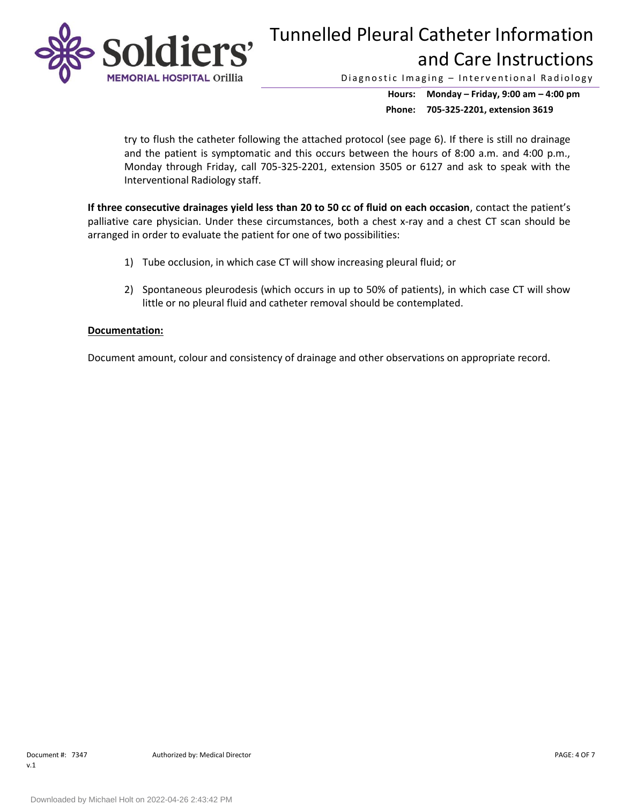

Diagnostic Imaging - Interventional Radiology

**Hours: Monday – Friday, 9:00 am – 4:00 pm Phone: 705-325-2201, extension 3619**

try to flush the catheter following the attached protocol (see page 6). If there is still no drainage and the patient is symptomatic and this occurs between the hours of 8:00 a.m. and 4:00 p.m., Monday through Friday, call 705-325-2201, extension 3505 or 6127 and ask to speak with the Interventional Radiology staff.

**If three consecutive drainages yield less than 20 to 50 cc of fluid on each occasion**, contact the patient's palliative care physician. Under these circumstances, both a chest x-ray and a chest CT scan should be arranged in order to evaluate the patient for one of two possibilities:

- 1) Tube occlusion, in which case CT will show increasing pleural fluid; or
- 2) Spontaneous pleurodesis (which occurs in up to 50% of patients), in which case CT will show little or no pleural fluid and catheter removal should be contemplated.

## **Documentation:**

Document amount, colour and consistency of drainage and other observations on appropriate record.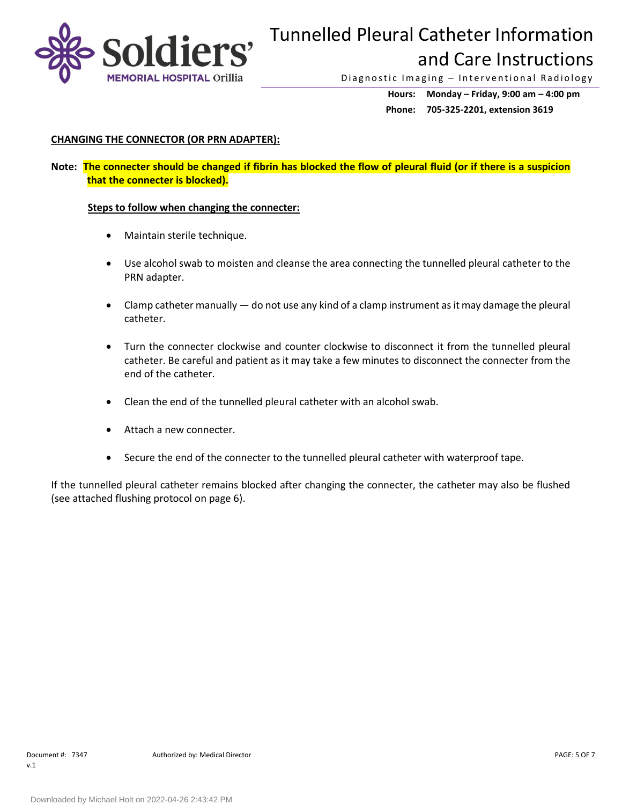

Diagnostic Imaging - Interventional Radiology

**Hours: Monday – Friday, 9:00 am – 4:00 pm Phone: 705-325-2201, extension 3619**

# **CHANGING THE CONNECTOR (OR PRN ADAPTER):**

**Note: The connecter should be changed if fibrin has blocked the flow of pleural fluid (or if there is a suspicion that the connecter is blocked).**

## **Steps to follow when changing the connecter:**

- Maintain sterile technique.
- Use alcohol swab to moisten and cleanse the area connecting the tunnelled pleural catheter to the PRN adapter.
- Clamp catheter manually do not use any kind of a clamp instrument as it may damage the pleural catheter.
- Turn the connecter clockwise and counter clockwise to disconnect it from the tunnelled pleural catheter. Be careful and patient as it may take a few minutes to disconnect the connecter from the end of the catheter.
- Clean the end of the tunnelled pleural catheter with an alcohol swab.
- Attach a new connecter.
- Secure the end of the connecter to the tunnelled pleural catheter with waterproof tape.

If the tunnelled pleural catheter remains blocked after changing the connecter, the catheter may also be flushed (see attached flushing protocol on page 6).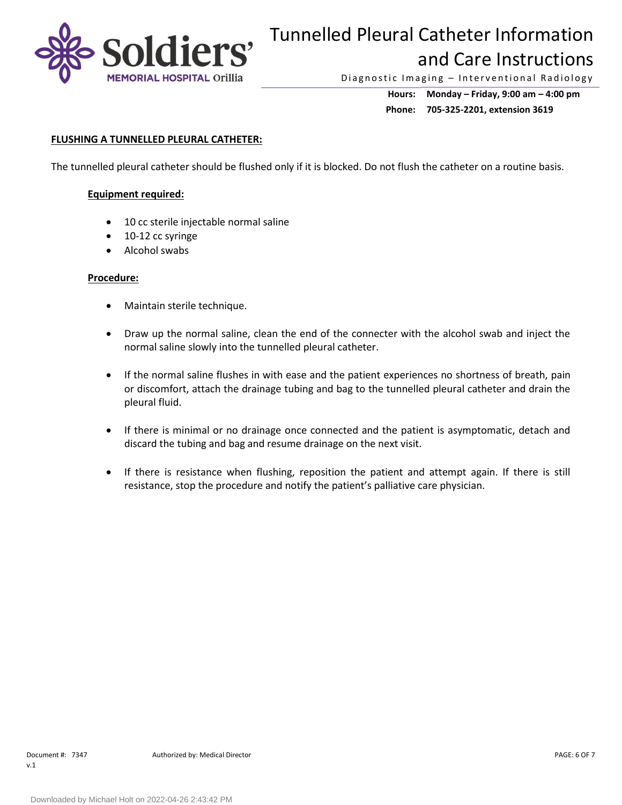

Diagnostic Imaging - Interventional Radiology

**Hours: Monday – Friday, 9:00 am – 4:00 pm Phone: 705-325-2201, extension 3619**

## **FLUSHING A TUNNELLED PLEURAL CATHETER:**

The tunnelled pleural catheter should be flushed only if it is blocked. Do not flush the catheter on a routine basis.

## **Equipment required:**

- 10 cc sterile injectable normal saline
- 10-12 cc syringe
- Alcohol swabs

### **Procedure:**

- Maintain sterile technique.
- Draw up the normal saline, clean the end of the connecter with the alcohol swab and inject the normal saline slowly into the tunnelled pleural catheter.
- If the normal saline flushes in with ease and the patient experiences no shortness of breath, pain or discomfort, attach the drainage tubing and bag to the tunnelled pleural catheter and drain the pleural fluid.
- If there is minimal or no drainage once connected and the patient is asymptomatic, detach and discard the tubing and bag and resume drainage on the next visit.
- If there is resistance when flushing, reposition the patient and attempt again. If there is still resistance, stop the procedure and notify the patient's palliative care physician.